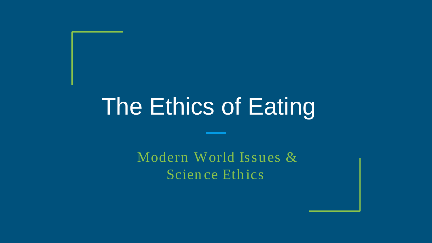# The Ethics of Eating

Modern World Issues & Scien ce Ethics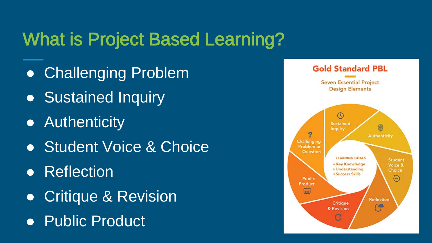# What is Project Based Learning?

- Challenging Problem
- Sustained Inquiry
- Authenticity
- **Student Voice & Choice**
- Reflection
- **Critique & Revision**
- Public Product

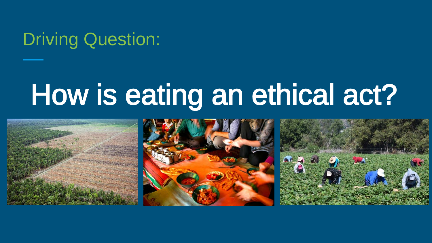# Driving Question:

# How is eating an ethical act?

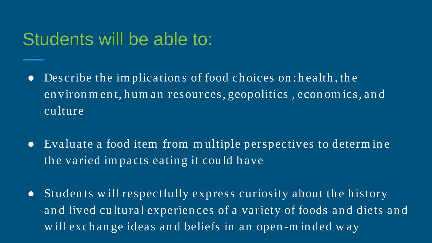#### Students will be able to:

- Describe the implications of food choices on: health, the en viron m en t, h um an resources, geopolitics , econ om ics, an d culture
- Evaluate a food item from m ultiple perspectives to determ in e the varied im pacts eatin g it could have
- Studen ts w ill respectfully express curiosity about the history an d lived cultural experien ces of a variety of foods an d diets an d w ill exchange ideas and beliefs in an open-minded way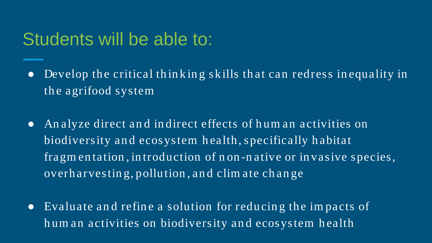#### Students will be able to:

- Develop the critical thinking skills that can redress in equality in the agrifood system
- An alyze direct an d in direct effects of hum an activities on biodiversity and ecosystem health, specifically habitat fragm en tation , in troduction of n on -n ative or in vasive species, overh arvestin g, pollution , an d clim ate ch an ge
- Evaluate an d refin e a solution for reducin g the im pacts of hum an activities on biodiversity an d ecosystem health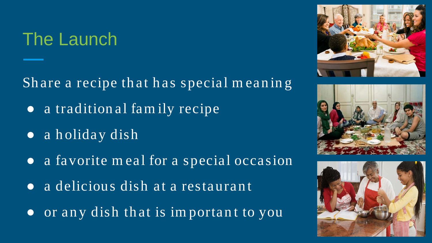# The Launch

Share a recipe that has special m eaning

- a tradition al fam ily recipe
- a holiday dish
- a favorite meal for a special occasion
- a delicious dish at a restaurant.
- or any dish that is important to you





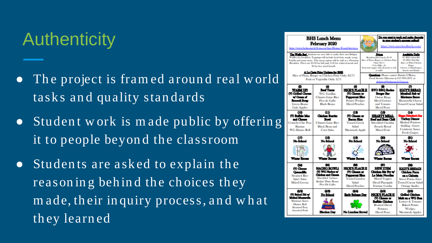# **Authenticity**

- The project is framed around real world tasks and quality standards
- Student work is made public by offering it to people beyond the classroom
- Students are asked to explain the reasoning behind the choices they m ade, th eir in quiry process, an d w h at they learned

| <b>BHS Lunch Menu</b><br>February 2020<br>http://www.behnont.k12.ma.us/bns/Home/Food-Services                                      | Do you want to track and make deposits<br>Sanitan Success Canada at an<br>$-10$<br>https://www.myschoolbucks.com/                                                                                                                                                                                                                                                                                                 |                                                                                                                           |  |                                                                                                                                                                                                                                                                           |                                                                                                                                                  |
|------------------------------------------------------------------------------------------------------------------------------------|-------------------------------------------------------------------------------------------------------------------------------------------------------------------------------------------------------------------------------------------------------------------------------------------------------------------------------------------------------------------------------------------------------------------|---------------------------------------------------------------------------------------------------------------------------|--|---------------------------------------------------------------------------------------------------------------------------------------------------------------------------------------------------------------------------------------------------------------------------|--------------------------------------------------------------------------------------------------------------------------------------------------|
|                                                                                                                                    | The Waffle Bart Students are now able to make their own Belgian<br>Waffles for breakfast. Toppings will include fresh fruit, maple syrup,<br>Nutella and many more. This menu option will be sold as a Premium<br>Breakfast. Prices are \$3,00 for full paid, \$.30 for reduced meals and<br>80 for free meal benefit<br>A La Carte Price Undates for BHS<br>Slice of Pizza, Burger or Chicken Patty Only: \$2.75 |                                                                                                                           |  | Prices<br>Brindstrubbe Lunch: \$3.50<br>Slice of Pizza, Burger or Chicken Patty<br>Oale: \$2.75<br>8 Or Milk: .30<br>Fruit and versies with all meals as well<br>as nulle!<br><b>Quartime:</b> Please contact Dustin O'Brien.<br>Food Service Director at 617-993-5871 or | Amilable Daily<br>(V) BYO Salad Bar<br><b>WE BYO Deli Bar</b><br>Spicy or Plain Chicken<br>Patties<br>Cheese or Handsugers<br>Snacks and Drinks  |
| œ<br><b>WARM UPI</b><br>(V) Grilled Cheese<br>w/Cramed<br><b>Broccoll Soup</b><br><b>Green Beans</b><br><b>Gala Apples</b>         | Fruit or Vegetable Only: \$.75<br>ω<br><b>Beat Those</b><br><b>NICK'S PLACE II</b><br><b>WG Tortillas</b><br>(V) Cheese or<br><b>Cilantro Lime Rice</b><br>Pepperoni Slice<br>Pico de Gallo<br><b>Potato Wedges</b><br><b>Diced Peaches</b><br><b>Black Beans</b>                                                                                                                                                 |                                                                                                                           |  | dobrien@belmont.k12.ma.us<br>œ<br><b>BYO BBQ Rodeo</b><br><b>Burger Bar</b><br><b>Onion Rings</b><br><b>Sliced Lettuce</b><br>and Tomato<br><b>Sliced Pears</b>                                                                                                           | ø<br><b>IGGY'S BREAD</b><br>Meathall Sub w<br>Marinara Sance<br><b>Mozzarella Cheese</b><br><b>Tossed Caesar Salad</b>                           |
| αø<br>(V) Buffalo Mac<br>and Cheese<br><b>Crunchy Chic Peas</b><br>Banana<br><b>WG Dinner Roll</b>                                 | αŋ<br>Chicken Burrito<br><b>Bowl</b><br><b>Cilantro Lime Rice</b><br><b>Black Bean and</b><br>Corn Salsa                                                                                                                                                                                                                                                                                                          | ŒD<br>(V) Cheese or<br>Bacon Slice<br><b>Tossed Greek</b><br>Salad<br><b>Macintosh Apple</b>                              |  | αs<br><b>HEARTY MEAL</b><br>Beef and Bean Chili<br><b>Shredded Cheddar</b><br><b>French Bread</b><br><b>Mixed Fruit</b>                                                                                                                                                   | ao<br>or Valentine's Day<br><b>Turkey Disner</b><br><b>Mashed Potatoes</b><br>Stuffing / Gravy<br><b>Cranberry Sance</b><br><b>Fresh Grapes</b>  |
| α»<br>No School<br><b>Winter Recess</b>                                                                                            | αø<br>No School<br><b>Winter Race</b>                                                                                                                                                                                                                                                                                                                                                                             | αsι<br>No School<br>Winter Recent                                                                                         |  | œm<br>No School<br><b>Winter Recess</b>                                                                                                                                                                                                                                   | മോ<br>No School<br><b>Winter Recess</b>                                                                                                          |
| 60<br>(V) Cheese<br><b>Creadila</b><br><b>Steamed Rice</b><br><b>Spicy Salsa</b><br><b>Mixed Greens</b>                            | ඎ<br><b>NACHO BOWLI</b><br>(V) WG Nados w<br>Chicken and Cheese<br><b>Shredded Lettuce</b><br>Kickin' Pinto Beans<br><b>Pico De Gallo</b>                                                                                                                                                                                                                                                                         | යා<br><b>NICK'S PLACE II</b><br>(V) Chouse or<br>Pepperoni Slice<br><b>Tossed Carden</b><br>Salad<br><b>Diced Peaches</b> |  | ඐ<br><b>NEW ITEM</b><br>Chicken Stir Fry w/<br>Lo Mein Noodles<br><b>Mixed Veggies</b><br><b>Diced Pineapple</b><br><b>Fortune Cookie</b>                                                                                                                                 | (98)<br><b>IGGY'S BREAD!</b><br>Chicken Parm<br>on a Clabatta<br><b>Sweet Potato Fries</b><br><b>Tossed Caesar Salad</b><br><b>Orange Smiles</b> |
| 02/33<br>(V) Baked Ziti w<br>Moind Momenia<br><b>Marinara Sauce</b><br>Dinner Roll<br><b>Steamed Peas</b><br><b>Assorted Fruit</b> | (8/8)<br>No School<br>Election Day                                                                                                                                                                                                                                                                                                                                                                                | œo.<br>Early Release Day<br><b>No Lunches Served</b>                                                                      |  | (B/S)<br><b>NICK'S PLACE II</b><br>(V) Cheese or<br><b>Buffalo Chicken</b><br><b>Roasted Diced</b><br><b>Potatoes</b><br><b>Diced Pears</b>                                                                                                                               | (2/5)<br>Grilled Chicken<br>Mekon a WG Bun<br>Lettuce & Tomato<br><b>Baked Potato</b><br><b>Wedges</b><br><b>Macintosh Apples</b>                |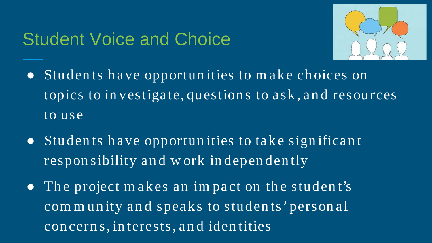#### Student Voice and Choice



- Students have opportunities to m ake choices on topics to investigate, questions to ask, and resources to use
- Studen ts have opportun ities to take sign ifican t responsibility and w ork independently
- The project makes an impact on the student's community and speaks to students' personal con cern s, in terests, an d iden tities